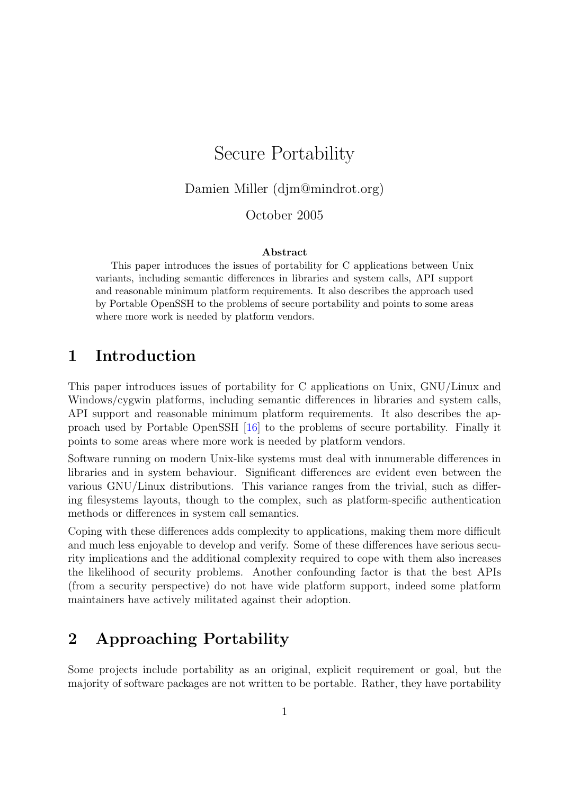# Secure Portability

Damien Miller (djm@mindrot.org)

### October 2005

#### Abstract

This paper introduces the issues of portability for C applications between Unix variants, including semantic differences in libraries and system calls, API support and reasonable minimum platform requirements. It also describes the approach used by Portable OpenSSH to the problems of secure portability and points to some areas where more work is needed by platform vendors.

## 1 Introduction

This paper introduces issues of portability for C applications on Unix, GNU/Linux and Windows/cygwin platforms, including semantic differences in libraries and system calls, API support and reasonable minimum platform requirements. It also describes the approach used by Portable OpenSSH [\[16\]](#page-12-0) to the problems of secure portability. Finally it points to some areas where more work is needed by platform vendors.

Software running on modern Unix-like systems must deal with innumerable differences in libraries and in system behaviour. Significant differences are evident even between the various GNU/Linux distributions. This variance ranges from the trivial, such as differing filesystems layouts, though to the complex, such as platform-specific authentication methods or differences in system call semantics.

Coping with these differences adds complexity to applications, making them more difficult and much less enjoyable to develop and verify. Some of these differences have serious security implications and the additional complexity required to cope with them also increases the likelihood of security problems. Another confounding factor is that the best APIs (from a security perspective) do not have wide platform support, indeed some platform maintainers have actively militated against their adoption.

# 2 Approaching Portability

Some projects include portability as an original, explicit requirement or goal, but the majority of software packages are not written to be portable. Rather, they have portability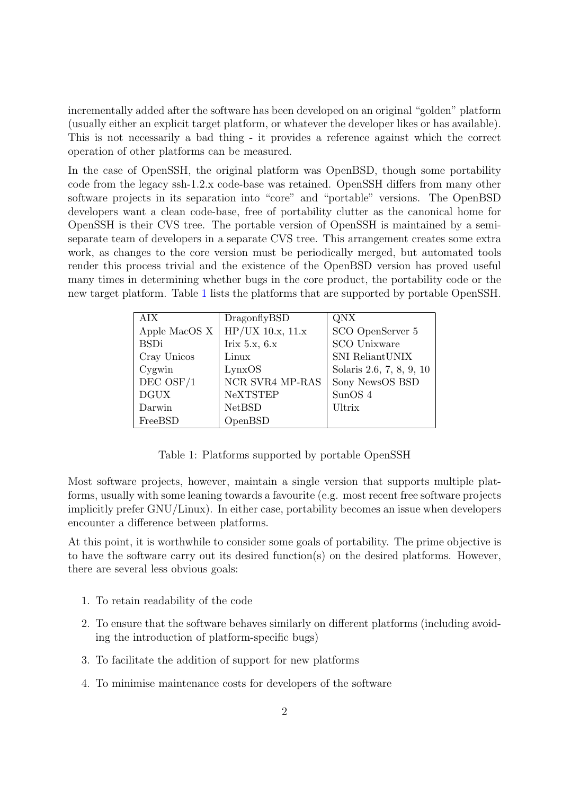incrementally added after the software has been developed on an original "golden" platform (usually either an explicit target platform, or whatever the developer likes or has available). This is not necessarily a bad thing - it provides a reference against which the correct operation of other platforms can be measured.

In the case of OpenSSH, the original platform was OpenBSD, though some portability code from the legacy ssh-1.2.x code-base was retained. OpenSSH differs from many other software projects in its separation into "core" and "portable" versions. The OpenBSD developers want a clean code-base, free of portability clutter as the canonical home for OpenSSH is their CVS tree. The portable version of OpenSSH is maintained by a semiseparate team of developers in a separate CVS tree. This arrangement creates some extra work, as changes to the core version must be periodically merged, but automated tools render this process trivial and the existence of the OpenBSD version has proved useful many times in determining whether bugs in the core product, the portability code or the new target platform. Table [1](#page-1-0) lists the platforms that are supported by portable OpenSSH.

| AIX            | DragonflyBSD       | QNX                      |
|----------------|--------------------|--------------------------|
| Apple MacOS X  | $HP/UX$ 10.x, 11.x | SCO OpenServer 5         |
| <b>BSDi</b>    | Irix $5.x$ , $6.x$ | <b>SCO</b> Unixware      |
| Cray Unicos    | Linux              | SNI ReliantUNIX          |
| Cygwin         | LynxOS             | Solaris 2.6, 7, 8, 9, 10 |
| $DEC$ OSF $/1$ | NCR SVR4 MP-RAS    | Sony NewsOS BSD          |
| <b>DGUX</b>    | <b>NeXTSTEP</b>    | SunOS <sub>4</sub>       |
| Darwin         | <b>NetBSD</b>      | Ultrix                   |
| FreeBSD        | OpenBSD            |                          |

Table 1: Platforms supported by portable OpenSSH

<span id="page-1-0"></span>Most software projects, however, maintain a single version that supports multiple platforms, usually with some leaning towards a favourite (e.g. most recent free software projects implicitly prefer GNU/Linux). In either case, portability becomes an issue when developers encounter a difference between platforms.

At this point, it is worthwhile to consider some goals of portability. The prime objective is to have the software carry out its desired function(s) on the desired platforms. However, there are several less obvious goals:

- 1. To retain readability of the code
- 2. To ensure that the software behaves similarly on different platforms (including avoiding the introduction of platform-specific bugs)
- 3. To facilitate the addition of support for new platforms
- 4. To minimise maintenance costs for developers of the software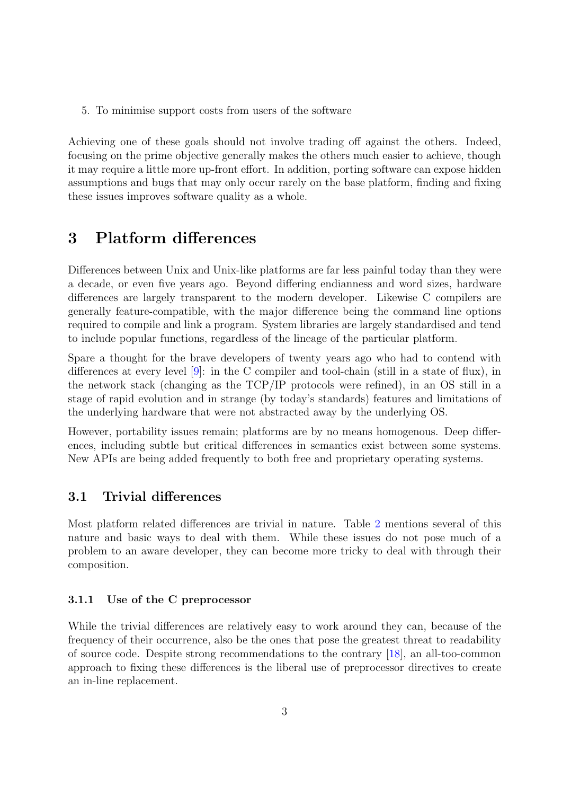5. To minimise support costs from users of the software

Achieving one of these goals should not involve trading off against the others. Indeed, focusing on the prime objective generally makes the others much easier to achieve, though it may require a little more up-front effort. In addition, porting software can expose hidden assumptions and bugs that may only occur rarely on the base platform, finding and fixing these issues improves software quality as a whole.

## 3 Platform differences

Differences between Unix and Unix-like platforms are far less painful today than they were a decade, or even five years ago. Beyond differing endianness and word sizes, hardware differences are largely transparent to the modern developer. Likewise C compilers are generally feature-compatible, with the major difference being the command line options required to compile and link a program. System libraries are largely standardised and tend to include popular functions, regardless of the lineage of the particular platform.

Spare a thought for the brave developers of twenty years ago who had to contend with differences at every level [\[9\]](#page-12-1): in the C compiler and tool-chain (still in a state of flux), in the network stack (changing as the TCP/IP protocols were refined), in an OS still in a stage of rapid evolution and in strange (by today's standards) features and limitations of the underlying hardware that were not abstracted away by the underlying OS.

However, portability issues remain; platforms are by no means homogenous. Deep differences, including subtle but critical differences in semantics exist between some systems. New APIs are being added frequently to both free and proprietary operating systems.

## 3.1 Trivial differences

Most platform related differences are trivial in nature. Table [2](#page-3-0) mentions several of this nature and basic ways to deal with them. While these issues do not pose much of a problem to an aware developer, they can become more tricky to deal with through their composition.

#### 3.1.1 Use of the C preprocessor

While the trivial differences are relatively easy to work around they can, because of the frequency of their occurrence, also be the ones that pose the greatest threat to readability of source code. Despite strong recommendations to the contrary [\[18\]](#page-12-2), an all-too-common approach to fixing these differences is the liberal use of preprocessor directives to create an in-line replacement.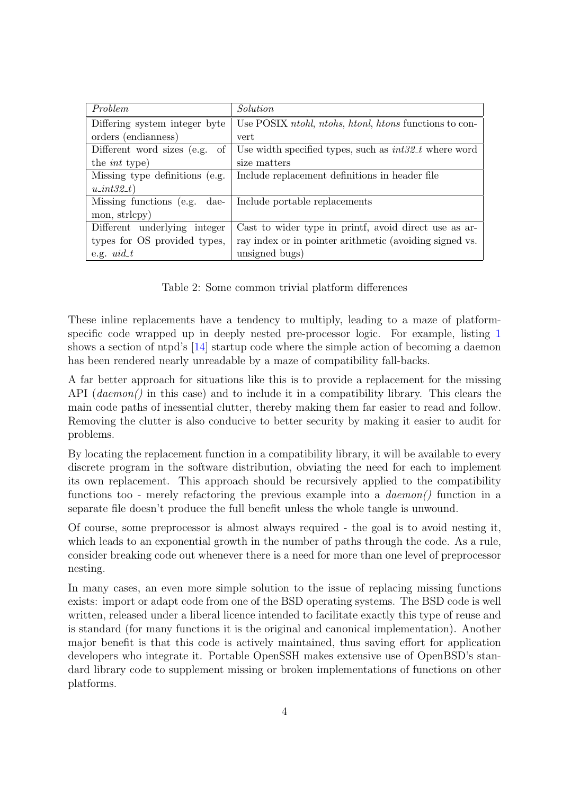| Problem                            | Solution                                                      |  |
|------------------------------------|---------------------------------------------------------------|--|
| Differing system integer byte      | Use POSIX <i>ntohl, ntohs, htonl, htons</i> functions to con- |  |
| orders (endianness)                | vert                                                          |  |
| Different word sizes (e.g.<br>- of | Use width specified types, such as $int32_t$ where word       |  |
| the <i>int</i> type)               | size matters                                                  |  |
| Missing type definitions (e.g.     | Include replacement definitions in header file                |  |
| $u\_int32_t$                       |                                                               |  |
| Missing functions (e.g. dae-       | Include portable replacements                                 |  |
| mon, strlcpy)                      |                                                               |  |
| Different underlying integer       | Cast to wider type in printf, avoid direct use as ar-         |  |
| types for OS provided types,       | ray index or in pointer arithmetic (avoiding signed vs.       |  |
| e.g. $uid_t$                       | unsigned bugs)                                                |  |

Table 2: Some common trivial platform differences

<span id="page-3-0"></span>These inline replacements have a tendency to multiply, leading to a maze of platformspecific code wrapped up in deeply nested pre-processor logic. For example, listing [1](#page-4-0) shows a section of ntpd's [\[14\]](#page-12-3) startup code where the simple action of becoming a daemon has been rendered nearly unreadable by a maze of compatibility fall-backs.

A far better approach for situations like this is to provide a replacement for the missing API (*daemon*) in this case) and to include it in a compatibility library. This clears the main code paths of inessential clutter, thereby making them far easier to read and follow. Removing the clutter is also conducive to better security by making it easier to audit for problems.

By locating the replacement function in a compatibility library, it will be available to every discrete program in the software distribution, obviating the need for each to implement its own replacement. This approach should be recursively applied to the compatibility functions too - merely refactoring the previous example into a  $d$ *daemon* $\ell$ ) function in a separate file doesn't produce the full benefit unless the whole tangle is unwound.

Of course, some preprocessor is almost always required - the goal is to avoid nesting it, which leads to an exponential growth in the number of paths through the code. As a rule, consider breaking code out whenever there is a need for more than one level of preprocessor nesting.

In many cases, an even more simple solution to the issue of replacing missing functions exists: import or adapt code from one of the BSD operating systems. The BSD code is well written, released under a liberal licence intended to facilitate exactly this type of reuse and is standard (for many functions it is the original and canonical implementation). Another major benefit is that this code is actively maintained, thus saving effort for application developers who integrate it. Portable OpenSSH makes extensive use of OpenBSD's standard library code to supplement missing or broken implementations of functions on other platforms.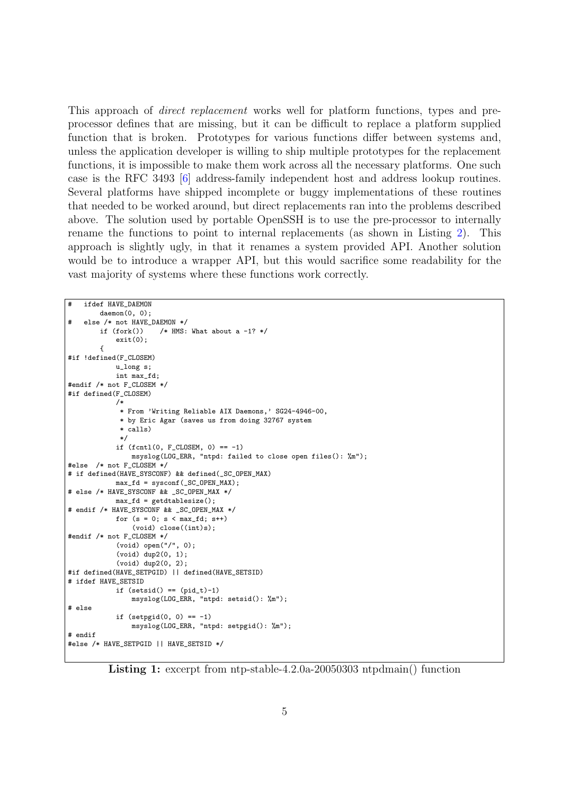This approach of direct replacement works well for platform functions, types and preprocessor defines that are missing, but it can be difficult to replace a platform supplied function that is broken. Prototypes for various functions differ between systems and, unless the application developer is willing to ship multiple prototypes for the replacement functions, it is impossible to make them work across all the necessary platforms. One such case is the RFC 3493 [\[6\]](#page-12-4) address-family independent host and address lookup routines. Several platforms have shipped incomplete or buggy implementations of these routines that needed to be worked around, but direct replacements ran into the problems described above. The solution used by portable OpenSSH is to use the pre-processor to internally rename the functions to point to internal replacements (as shown in Listing [2\)](#page-5-0). This approach is slightly ugly, in that it renames a system provided API. Another solution would be to introduce a wrapper API, but this would sacrifice some readability for the vast majority of systems where these functions work correctly.

```
# ifdef HAVE_DAEMON
        daemon(0, 0);
# else /* not HAVE_DAEMON */<br>if (fork()) /* HMS:
                       /* HMS: What about a -1? */
            ext(0):{
#if !defined(F_CLOSEM)
            u_long s;
            int max_fd;
#endif /* not F_CLOSEM */
#if defined(F_CLOSEM)
            /*
             * From 'Writing Reliable AIX Daemons,' SG24-4946-00,
             * by Eric Agar (saves us from doing 32767 system
             * calls)
             */
            if (fcnt1(0, F_CLOSEM, 0) == -1)msyslog(LOG_ERR, "ntpd: failed to close open files(): %m");
#else /* not F_CLOSEM */
# if defined(HAVE_SYSCONF) && defined(_SC_OPEN_MAX)
            max_f d = sysconf(SC_OPEN_MAX);# else /* HAVE_SYSCONF && _SC_OPEN_MAX */
            max_f d = getdtablesize();# endif /* HAVE_SYSCONF && _SC_OPEN_MAX */
            for (s = 0; s < max_f d; s++)(void) close((int)s);
#endif /* not F_CLOSEM */
            (void) open("/", 0);
            (void) dup2(0, 1);
            (void) dup2(0, 2);
#if defined(HAVE_SETPGID) || defined(HAVE_SETSID)
# ifdef HAVE_SETSID
            if (setsid() == (pid_t)-1)msyslog(LOG_ERR, "ntpd: setsid(): %m");
# else
            if (setppid(0, 0) == -1)msyslog(LOG_ERR, "ntpd: setpgid(): %m");
# endif
#else /* HAVE_SETPGID || HAVE_SETSID */
```
<span id="page-4-0"></span>Listing 1: excerpt from ntp-stable-4.2.0a-20050303 ntpdmain() function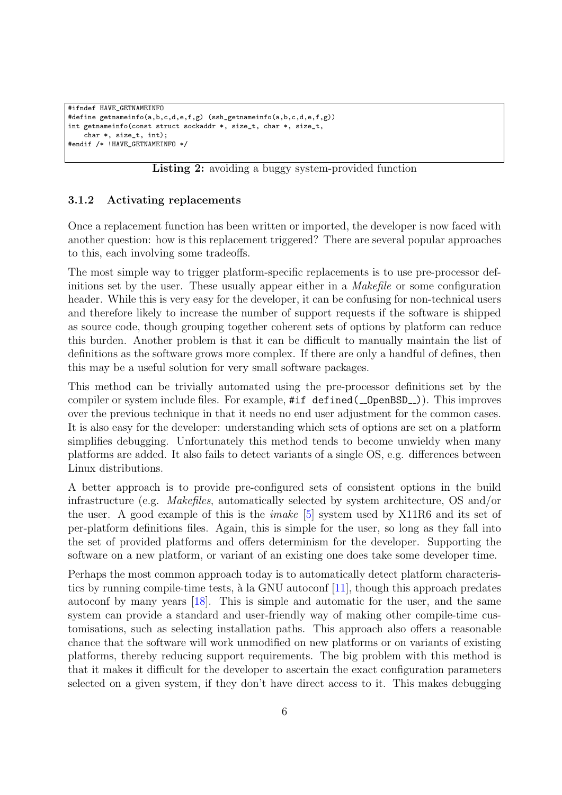```
#ifndef HAVE_GETNAMEINFO
#define getnameinfo(a,b,c,d,e,f,g) (ssh_getnameinfo(a,b,c,d,e,f,g))
int getnameinfo(const struct sockaddr *, size_t, char *, size_t,
   char *, size_t, int);
#endif /* !HAVE_GETNAMEINFO */
```
Listing 2: avoiding a buggy system-provided function

#### <span id="page-5-0"></span>3.1.2 Activating replacements

Once a replacement function has been written or imported, the developer is now faced with another question: how is this replacement triggered? There are several popular approaches to this, each involving some tradeoffs.

The most simple way to trigger platform-specific replacements is to use pre-processor definitions set by the user. These usually appear either in a Makefile or some configuration header. While this is very easy for the developer, it can be confusing for non-technical users and therefore likely to increase the number of support requests if the software is shipped as source code, though grouping together coherent sets of options by platform can reduce this burden. Another problem is that it can be difficult to manually maintain the list of definitions as the software grows more complex. If there are only a handful of defines, then this may be a useful solution for very small software packages.

This method can be trivially automated using the pre-processor definitions set by the compiler or system include files. For example,  $\#$ if defined(\_OpenBSD\_)). This improves over the previous technique in that it needs no end user adjustment for the common cases. It is also easy for the developer: understanding which sets of options are set on a platform simplifies debugging. Unfortunately this method tends to become unwieldy when many platforms are added. It also fails to detect variants of a single OS, e.g. differences between Linux distributions.

A better approach is to provide pre-configured sets of consistent options in the build infrastructure (e.g. Makefiles, automatically selected by system architecture, OS and/or the user. A good example of this is the imake [\[5\]](#page-12-5) system used by X11R6 and its set of per-platform definitions files. Again, this is simple for the user, so long as they fall into the set of provided platforms and offers determinism for the developer. Supporting the software on a new platform, or variant of an existing one does take some developer time.

Perhaps the most common approach today is to automatically detect platform characteristics by running compile-time tests,  $\hat{a}$  la GNU autoconf [\[11\]](#page-12-6), though this approach predates autoconf by many years [\[18\]](#page-12-2). This is simple and automatic for the user, and the same system can provide a standard and user-friendly way of making other compile-time customisations, such as selecting installation paths. This approach also offers a reasonable chance that the software will work unmodified on new platforms or on variants of existing platforms, thereby reducing support requirements. The big problem with this method is that it makes it difficult for the developer to ascertain the exact configuration parameters selected on a given system, if they don't have direct access to it. This makes debugging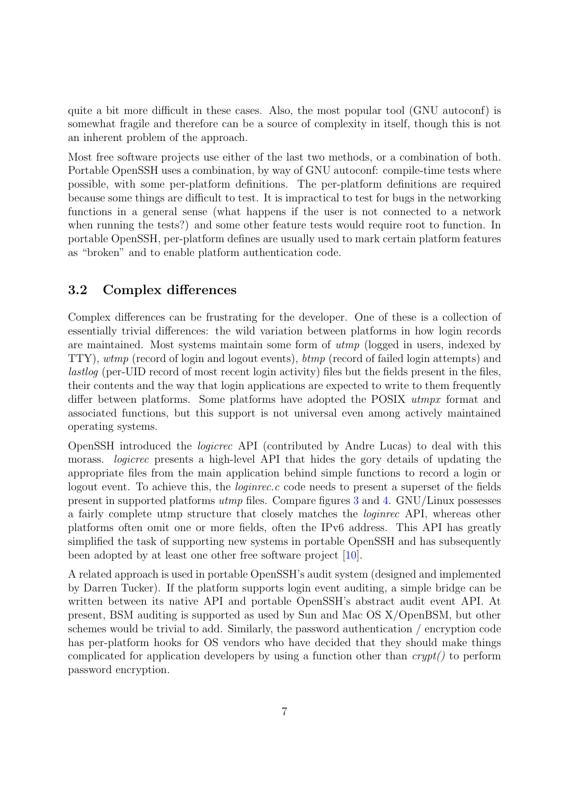quite a bit more difficult in these cases. Also, the most popular tool (GNU autoconf) is somewhat fragile and therefore can be a source of complexity in itself, though this is not an inherent problem of the approach.

Most free software projects use either of the last two methods, or a combination of both. Portable OpenSSH uses a combination, by way of GNU autoconf: compile-time tests where possible, with some per-platform definitions. The per-platform definitions are required because some things are difficult to test. It is impractical to test for bugs in the networking functions in a general sense (what happens if the user is not connected to a network when running the tests?) and some other feature tests would require root to function. In portable OpenSSH, per-platform defines are usually used to mark certain platform features as "broken" and to enable platform authentication code.

## 3.2 Complex differences

Complex differences can be frustrating for the developer. One of these is a collection of essentially trivial differences: the wild variation between platforms in how login records are maintained. Most systems maintain some form of utmp (logged in users, indexed by TTY), wtmp (record of login and logout events), btmp (record of failed login attempts) and lastlog (per-UID record of most recent login activity) files but the fields present in the files, their contents and the way that login applications are expected to write to them frequently differ between platforms. Some platforms have adopted the POSIX utmpx format and associated functions, but this support is not universal even among actively maintained operating systems.

OpenSSH introduced the logicrec API (contributed by Andre Lucas) to deal with this morass. logicrec presents a high-level API that hides the gory details of updating the appropriate files from the main application behind simple functions to record a login or logout event. To achieve this, the *loginrec.c* code needs to present a superset of the fields present in supported platforms utmp files. Compare figures [3](#page-7-0) and [4.](#page-7-1) GNU/Linux possesses a fairly complete utmp structure that closely matches the loginrec API, whereas other platforms often omit one or more fields, often the IPv6 address. This API has greatly simplified the task of supporting new systems in portable OpenSSH and has subsequently been adopted by at least one other free software project [\[10\]](#page-12-7).

A related approach is used in portable OpenSSH's audit system (designed and implemented by Darren Tucker). If the platform supports login event auditing, a simple bridge can be written between its native API and portable OpenSSH's abstract audit event API. At present, BSM auditing is supported as used by Sun and Mac OS X/OpenBSM, but other schemes would be trivial to add. Similarly, the password authentication / encryption code has per-platform hooks for OS vendors who have decided that they should make things complicated for application developers by using a function other than  $crupt()$  to perform password encryption.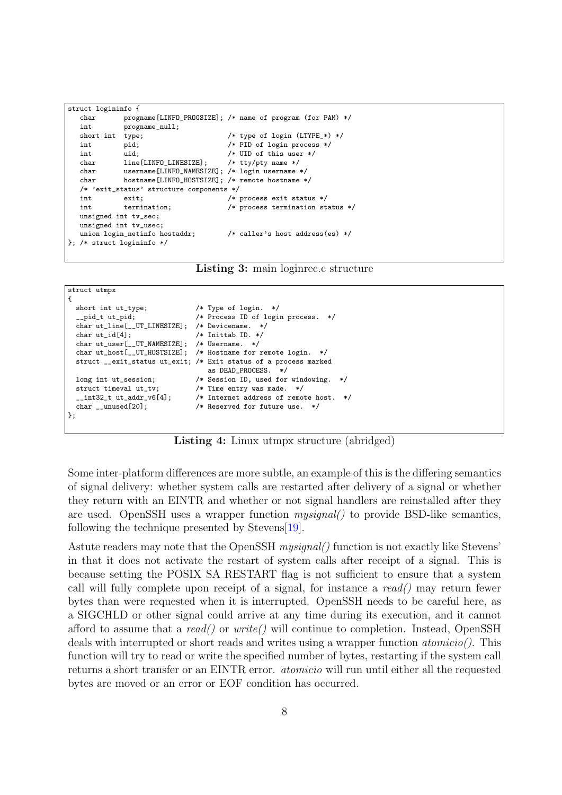```
struct logininfo {
   char progname[LINFO_PROGSIZE]; /* name of program (for PAM) */
   int progname_null;<br>short int type;
                type; <br> \qquad /* type of login (LTYPE_*) */<br> pid; <br> /* PID of login process */
   int pid; /* PID of login process */
   int uid; /* UID of this user */<br>
char line[LINFO LINESIZE]: /* ttv/ptv name */
   char line[LINFO_LINESIZE]; /* tty/pty name */
   char username[LINFO_NAMESIZE]; /* login username */<br>
char hostname[LINFO_HOSTSIZE]: /* remote hostname *
                hostname[LINFO_HOSTSIZE]; /* remote hostname */
   /* 'exit_status' structure components */
   int exit; \begin{array}{ccc} \text{int} & \text{exit} & \text{exists } \times \text{} \\ \text{int} & \text{transition} & \text{t} \end{array}int termination; \overline{\hspace{1cm}} /* process termination status */
   unsigned int tv_sec;
   unsigned int tv_usec;
   union login_netinfo hostaddr; /* caller's host address(es) */
}; /* struct logininfo */
```


<span id="page-7-0"></span>struct utmpx

```
{
 short int ut type: /* Type of login. */
   __pid_t ut_pid; /* Process ID of login process. */
  char ut_line[__UT_LINESIZE]; /* Devicename. */<br>char ut_id[4]: /* Inittab ID. */
                                   /* Inittab ID. */char ut_user[__UT_NAMESIZE]; /* Username. */
  char ut_host[__UT_HOSTSIZE]; /* Hostname for remote login. */
  struct __exit_status ut_exit; /* Exit status of a process marked
                                      as DEAD_PROCESS. */
  long int ut_session; /* Session ID, used for windowing. */
  struct timeval ut_tv; /* Time entry was made. */
 \frac{1}{2} int32_t ut_addr_v6[4]; \frac{1}{2} /* Internet address of remote host. */<br>
char unused [20]: \frac{1}{2} /* Reserved for future use. */
                                   /* Reserved for future use. */};
```
Listing 4: Linux utmpx structure (abridged)

<span id="page-7-1"></span>Some inter-platform differences are more subtle, an example of this is the differing semantics of signal delivery: whether system calls are restarted after delivery of a signal or whether they return with an EINTR and whether or not signal handlers are reinstalled after they are used. OpenSSH uses a wrapper function mysignal() to provide BSD-like semantics, following the technique presented by Stevens[\[19\]](#page-12-8).

Astute readers may note that the OpenSSH mysignal() function is not exactly like Stevens' in that it does not activate the restart of system calls after receipt of a signal. This is because setting the POSIX SA RESTART flag is not sufficient to ensure that a system call will fully complete upon receipt of a signal, for instance a  $read()$  may return fewer bytes than were requested when it is interrupted. OpenSSH needs to be careful here, as a SIGCHLD or other signal could arrive at any time during its execution, and it cannot afford to assume that a read() or write() will continue to completion. Instead, OpenSSH deals with interrupted or short reads and writes using a wrapper function atomicio(). This function will try to read or write the specified number of bytes, restarting if the system call returns a short transfer or an EINTR error. atomicio will run until either all the requested bytes are moved or an error or EOF condition has occurred.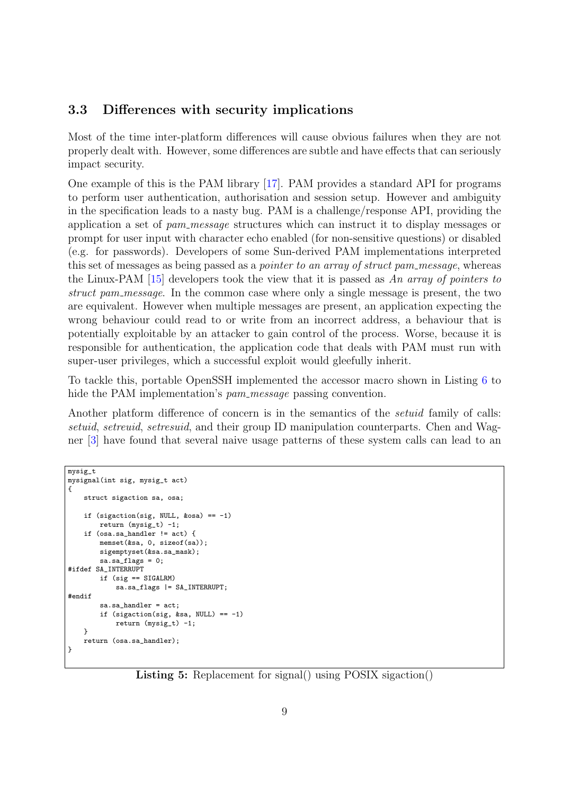## 3.3 Differences with security implications

Most of the time inter-platform differences will cause obvious failures when they are not properly dealt with. However, some differences are subtle and have effects that can seriously impact security.

One example of this is the PAM library [\[17\]](#page-12-9). PAM provides a standard API for programs to perform user authentication, authorisation and session setup. However and ambiguity in the specification leads to a nasty bug. PAM is a challenge/response API, providing the application a set of pam message structures which can instruct it to display messages or prompt for user input with character echo enabled (for non-sensitive questions) or disabled (e.g. for passwords). Developers of some Sun-derived PAM implementations interpreted this set of messages as being passed as a *pointer to an array of struct pam\_message*, whereas the Linux-PAM  $[15]$  developers took the view that it is passed as An array of pointers to struct pam message. In the common case where only a single message is present, the two are equivalent. However when multiple messages are present, an application expecting the wrong behaviour could read to or write from an incorrect address, a behaviour that is potentially exploitable by an attacker to gain control of the process. Worse, because it is responsible for authentication, the application code that deals with PAM must run with super-user privileges, which a successful exploit would gleefully inherit.

To tackle this, portable OpenSSH implemented the accessor macro shown in Listing [6](#page-9-0) to hide the PAM implementation's *pam\_message* passing convention.

Another platform difference of concern is in the semantics of the setuid family of calls: setuid, setreuid, setresuid, and their group ID manipulation counterparts. Chen and Wagner [\[3\]](#page-12-11) have found that several naive usage patterns of these system calls can lead to an

```
mysig_t
mysignal(int sig, mysig_t act)
{
    struct sigaction sa, osa;
    if (sigaction(sig, NULL, \&osa) == -1)
        return (mysig_t) -1;
    if (osa.sa_handler != act) {
        memset(&sa, 0, sizeof(sa));
        sigemptyset(&sa.sa_mask);
        sa.sa_flags = 0;
#ifdef SA_INTERRUPT
        if (sig == SIGALRM)
            sa.sa_flags |= SA_INTERRUPT;
#endif
        sa.sa_handler = act;
        if (sigaction(sig, ksa, NULL) == -1)
            return (mysig_t) -1;
    }
    return (osa.sa_handler);
}
```
Listing 5: Replacement for signal() using POSIX sigaction()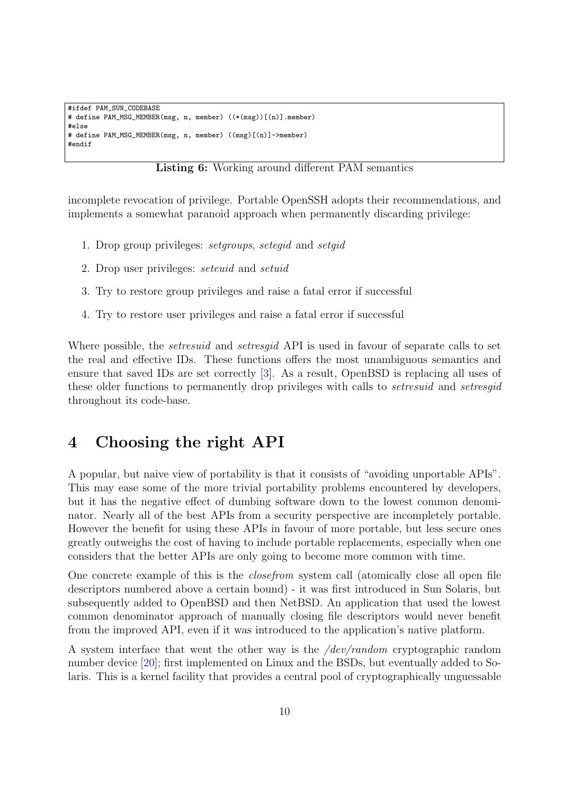```
#ifdef PAM_SUN_CODEBASE
# define PAM_MSG_MEMBER(msg, n, member) ((*(msg))[(n)].member)
#else
# define PAM_MSG_MEMBER(msg, n, member) ((msg)[(n)]->member)
#endif
```
Listing 6: Working around different PAM semantics

<span id="page-9-0"></span>incomplete revocation of privilege. Portable OpenSSH adopts their recommendations, and implements a somewhat paranoid approach when permanently discarding privilege:

- 1. Drop group privileges: setgroups, setegid and setgid
- 2. Drop user privileges: seteuid and setuid
- 3. Try to restore group privileges and raise a fatal error if successful
- 4. Try to restore user privileges and raise a fatal error if successful

Where possible, the *setresuid* and *setresgid* API is used in favour of separate calls to set the real and effective IDs. These functions offers the most unambiguous semantics and ensure that saved IDs are set correctly [\[3\]](#page-12-11). As a result, OpenBSD is replacing all uses of these older functions to permanently drop privileges with calls to setresuid and setresgid throughout its code-base.

## 4 Choosing the right API

A popular, but naive view of portability is that it consists of "avoiding unportable APIs". This may ease some of the more trivial portability problems encountered by developers, but it has the negative effect of dumbing software down to the lowest common denominator. Nearly all of the best APIs from a security perspective are incompletely portable. However the benefit for using these APIs in favour of more portable, but less secure ones greatly outweighs the cost of having to include portable replacements, especially when one considers that the better APIs are only going to become more common with time.

One concrete example of this is the closefrom system call (atomically close all open file descriptors numbered above a certain bound) - it was first introduced in Sun Solaris, but subsequently added to OpenBSD and then NetBSD. An application that used the lowest common denominator approach of manually closing file descriptors would never benefit from the improved API, even if it was introduced to the application's native platform.

A system interface that went the other way is the /dev/random cryptographic random number device [\[20\]](#page-12-12); first implemented on Linux and the BSDs, but eventually added to Solaris. This is a kernel facility that provides a central pool of cryptographically unguessable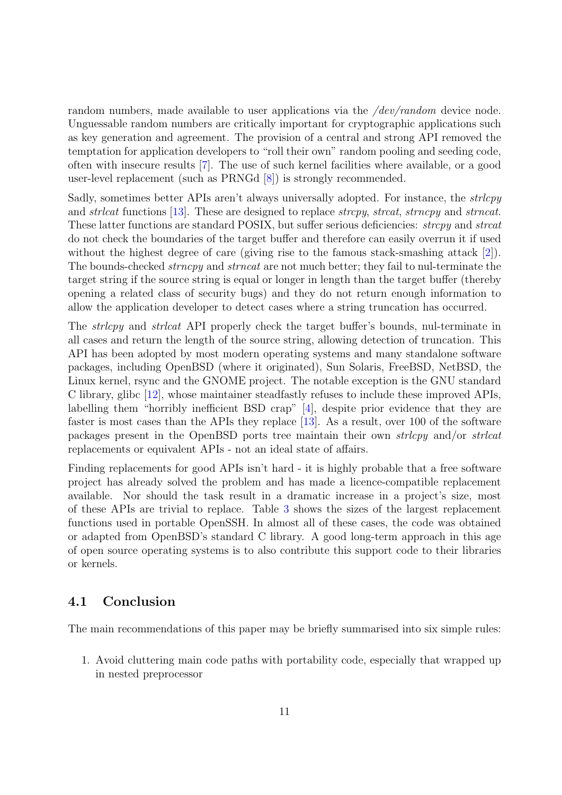random numbers, made available to user applications via the */dev/random* device node. Unguessable random numbers are critically important for cryptographic applications such as key generation and agreement. The provision of a central and strong API removed the temptation for application developers to "roll their own" random pooling and seeding code, often with insecure results [\[7\]](#page-12-13). The use of such kernel facilities where available, or a good user-level replacement (such as PRNGd [\[8\]](#page-12-14)) is strongly recommended.

Sadly, sometimes better APIs aren't always universally adopted. For instance, the *strlcpy* and *strlcat* functions [\[13\]](#page-12-15). These are designed to replace *strcpy*, *strcat*, *strncpy* and *strncat*. These latter functions are standard POSIX, but suffer serious deficiencies: *strcpy* and *strcat* do not check the boundaries of the target buffer and therefore can easily overrun it if used without the highest degree of care (giving rise to the famous stack-smashing attack [\[2\]](#page-12-16)). The bounds-checked *strncpy* and *strncat* are not much better; they fail to nul-terminate the target string if the source string is equal or longer in length than the target buffer (thereby opening a related class of security bugs) and they do not return enough information to allow the application developer to detect cases where a string truncation has occurred.

The *strlcpy* and *strlcat* API properly check the target buffer's bounds, nul-terminate in all cases and return the length of the source string, allowing detection of truncation. This API has been adopted by most modern operating systems and many standalone software packages, including OpenBSD (where it originated), Sun Solaris, FreeBSD, NetBSD, the Linux kernel, rsync and the GNOME project. The notable exception is the GNU standard C library, glibc [\[12\]](#page-12-17), whose maintainer steadfastly refuses to include these improved APIs, labelling them "horribly inefficient BSD crap" [\[4\]](#page-12-18), despite prior evidence that they are faster is most cases than the APIs they replace [\[13\]](#page-12-15). As a result, over 100 of the software packages present in the OpenBSD ports tree maintain their own strlcpy and/or strlcat replacements or equivalent APIs - not an ideal state of affairs.

Finding replacements for good APIs isn't hard - it is highly probable that a free software project has already solved the problem and has made a licence-compatible replacement available. Nor should the task result in a dramatic increase in a project's size, most of these APIs are trivial to replace. Table [3](#page-11-0) shows the sizes of the largest replacement functions used in portable OpenSSH. In almost all of these cases, the code was obtained or adapted from OpenBSD's standard C library. A good long-term approach in this age of open source operating systems is to also contribute this support code to their libraries or kernels.

## 4.1 Conclusion

The main recommendations of this paper may be briefly summarised into six simple rules:

1. Avoid cluttering main code paths with portability code, especially that wrapped up in nested preprocessor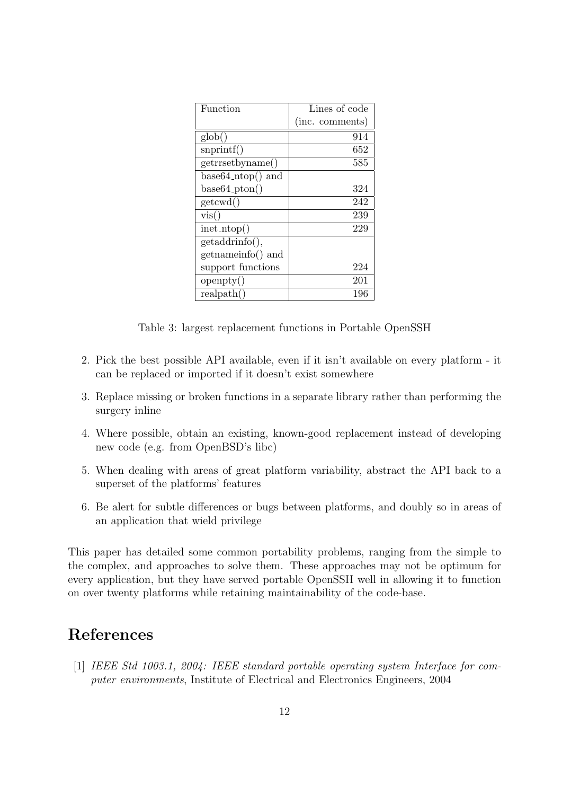| Function                         | Lines of code   |
|----------------------------------|-----------------|
|                                  | (inc. comments) |
| $\text{glob}()$                  | 914             |
| $s$ nprintf $()$                 | 652             |
| getrrsetbyname()                 | 585             |
| $base64_ntop()$ and              |                 |
| $base64\_pton()$                 | 324             |
| getcwd()                         | 242             |
| vis()                            | 239             |
| $\text{inet\_ntop}(\mathcal{A})$ | 229             |
| getaddrinfo(),                   |                 |
| getnameinfo() and                |                 |
| support functions                | 224             |
| openpty()                        | 201             |
| realpath()                       | 196             |

Table 3: largest replacement functions in Portable OpenSSH

- <span id="page-11-0"></span>2. Pick the best possible API available, even if it isn't available on every platform - it can be replaced or imported if it doesn't exist somewhere
- 3. Replace missing or broken functions in a separate library rather than performing the surgery inline
- 4. Where possible, obtain an existing, known-good replacement instead of developing new code (e.g. from OpenBSD's libc)
- 5. When dealing with areas of great platform variability, abstract the API back to a superset of the platforms' features
- 6. Be alert for subtle differences or bugs between platforms, and doubly so in areas of an application that wield privilege

This paper has detailed some common portability problems, ranging from the simple to the complex, and approaches to solve them. These approaches may not be optimum for every application, but they have served portable OpenSSH well in allowing it to function on over twenty platforms while retaining maintainability of the code-base.

# References

[1] IEEE Std 1003.1, 2004: IEEE standard portable operating system Interface for computer environments, Institute of Electrical and Electronics Engineers, 2004